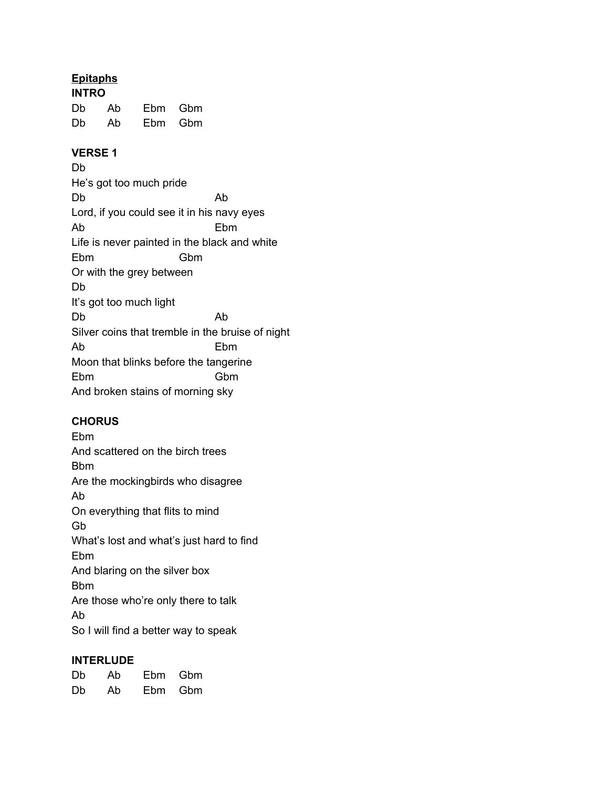#### **Epitaphs INTRO**

| IN I KU |    |  |         |  |  |
|---------|----|--|---------|--|--|
| Db      | Ab |  | Ebm Gbm |  |  |
| Db      | Ab |  | Ebm Gbm |  |  |

#### **VERSE 1**

Db He's got too much pride Db Ab Lord, if you could see it in his navy eyes Ab Ebm Life is never painted in the black and white Ebm Gbm Or with the grey between Db It's got too much light Db Ab Silver coins that tremble in the bruise of night Ab Ebm Moon that blinks before the tangerine Ebm Gbm And broken stains of morning sky

# **CHORUS**

Ebm And scattered on the birch trees Bbm Are the mockingbirds who disagree Ab On everything that flits to mind Gb What's lost and what's just hard to find Ebm And blaring on the silver box Bbm Are those who're only there to talk Ab So I will find a better way to speak

# **INTERLUDE**

| Db | Ab | Ebm | Gbm |
|----|----|-----|-----|
| Db | Ab | Ebm | Gbm |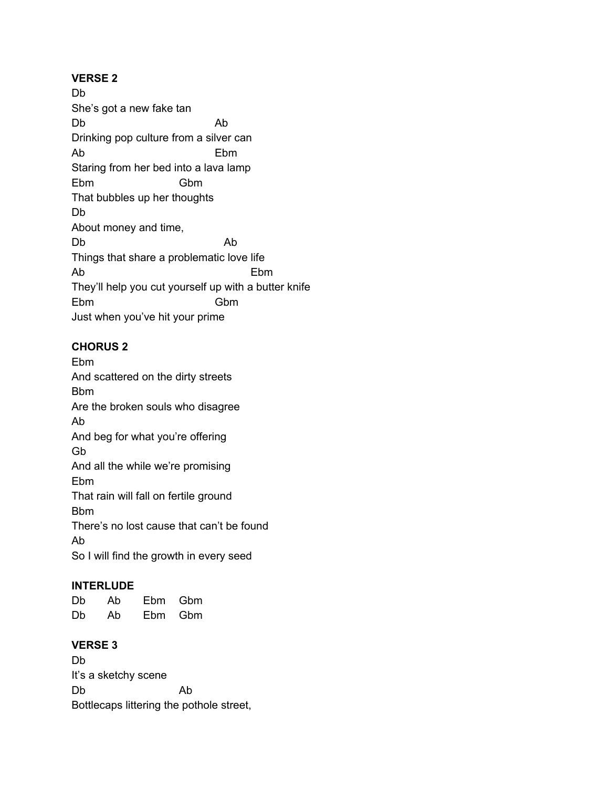#### **VERSE 2**

Db She's got a new fake tan Db Ab Drinking pop culture from a silver can Ab Ebm Staring from her bed into a lava lamp Ebm Gbm That bubbles up her thoughts Db About money and time, Db Ab Things that share a problematic love life Ab Ebm They'll help you cut yourself up with a butter knife Ebm Gbm Just when you've hit your prime

# **CHORUS 2**

Ebm And scattered on the dirty streets Bbm Are the broken souls who disagree Ab And beg for what you're offering Gb And all the while we're promising Ebm That rain will fall on fertile ground Bbm There's no lost cause that can't be found Ab So I will find the growth in every seed

#### **INTERLUDE**

| Db | Ab | Ebm. | Gbm |
|----|----|------|-----|
| Db | Ab | Ebm. | Gbm |

#### **VERSE 3**

Db It's a sketchy scene Db Ab Bottlecaps littering the pothole street,